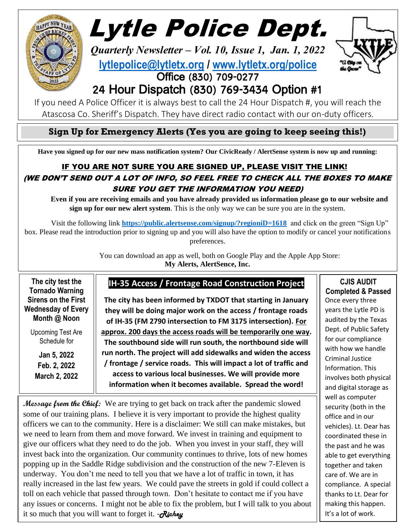

l

# Lytle Police Dept.

*Quarterly Newsletter – Vol. 10, Issue 1, Jan. 1, 2022* **[lytlepolice@lytletx.org](mailto:lytlepolice@lytletx.org) / [www.lytletx.org/police](http://www.lytletx.org/police)** Office (830) 709-0277



# 24 Hour Dispatch (830) 769-3434 Option #1

If you need A Police Officer it is always best to call the 24 Hour Dispatch #, you will reach the Atascosa Co. Sheriff's Dispatch. They have direct radio contact with our on-duty officers.

# **Sign Up for Emergency Alerts (Yes you are going to keep seeing this!)**

**Have you signed up for our new mass notification system? Our CivicReady / AlertSense system is now up and running:**

### IF YOU ARE NOT SURE YOU ARE SIGNED UP, PLEASE VISIT THE LINK! (WE DON'T SEND OUT A LOT OF INFO, SO FEEL FREE TO CHECK ALL THE BOXES TO MAKE SURE YOU GET THE INFORMATION YOU NEED)

**Even if you are receiving emails and you have already provided us information please go to our website and sign up for our new alert system**. This is the only way we can be sure you are in the system.

Visit the following link **<https://public.alertsense.com/signup/?regioniD=1618>** and click on the green "Sign Up" box. Please read the introduction prior to signing up and you will also have the option to modify or cancel your notifications preferences.

> You can download an app as well, both on Google Play and the Apple App Store: **My Alerts, AlertSence, Inc.**

**The city test the Tornado Warning Sirens on the First Wednesday of Every Month @ Noon**

Upcoming Test Are Schedule for

**Jan 5, 2022 Feb. 2, 2022 March 2, 2022**

# **IH-35 Access / Frontage Road Construction Project**

**The city has been informed by TXDOT that starting in January they will be doing major work on the access / frontage roads of IH-35 (FM 2790 intersection to FM 3175 intersection). For approx. 200 days the access roads will be temporarily one way. The southbound side will run south, the northbound side will run north. The project will add sidewalks and widen the access / frontage / service roads. This will impact a lot of traffic and access to various local businesses. We will provide more information when it becomes available. Spread the word!**

**Message from the Chief:** We are trying to get back on track after the pandemic slowed some of our training plans. I believe it is very important to provide the highest quality officers we can to the community. Here is a disclaimer: We still can make mistakes, but we need to learn from them and move forward. We invest in training and equipment to give our officers what they need to do the job. When you invest in your staff, they will invest back into the organization. Our community continues to thrive, lots of new homes popping up in the Saddle Ridge subdivision and the construction of the new 7-Eleven is underway. You don't me need to tell you that we have a lot of traffic in town, it has really increased in the last few years. We could pave the streets in gold if could collect a toll on each vehicle that passed through town. Don't hesitate to contact me if you have any issues or concerns. I might not be able to fix the problem, but I will talk to you about it so much that you will want to forget it. -*Richey*

**Completed & Passed** Once every three years the Lytle PD is audited by the Texas Dept. of Public Safety for our compliance with how we handle Criminal Justice Information. This involves both physical and digital storage as well as computer security (both in the office and in our vehicles). Lt. Dear has coordinated these in the past and he was able to get everything together and taken care of. We are in compliance. A special thanks to Lt. Dear for making this happen. It's a lot of work.

**CJIS AUDIT**